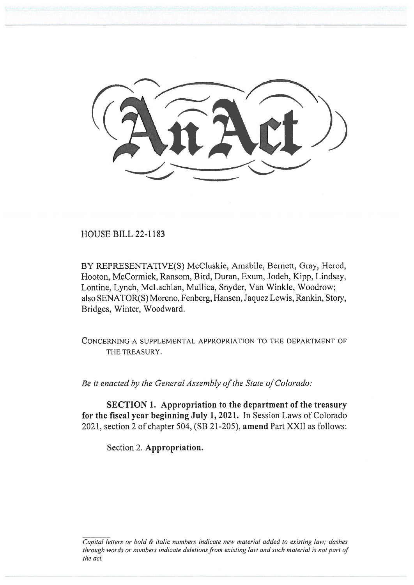HOUSE BILL 22-1183

BY REPRESENTATIVE(S) McCluskie, Amabile, Bernett, Gray, Herod, Hooton, McCormick, Ransom, Bird, Duran, Exum, Jodeh, Kipp, Lindsay, Lontine, Lynch, McLachlan, Mullica, Snyder, Van Winkle, Woodrow; also SENATOR(S) Moreno, Fenberg, Hansen, Jaquez Lewis, Rankin, Story, Bridges, Winter, Woodward.

CONCERNING A SUPPLEMENTAL APPROPRIATION TO THE DEPARTMENT OF THE TREASURY.

Be it enacted by the General Assembly of the State of Colorado:

SECTION 1. Appropriation to the department of the treasury for the fiscal year beginning July 1, 2021. In Session Laws of Colorado 2021, section 2 of chapter 504, (SB 21-205), amend Part XXII as follows:

Section 2. Appropriation.

Capital letters or bold & italic numbers indicate new material added to existing law; dashes through words or numbers indicate deletions from existing law and such material is not part of the act.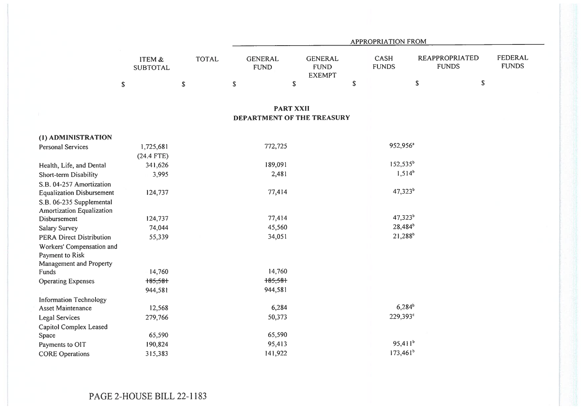|                                                       |                           |              | APPROPRIATION FROM            |                                                |             |                             |                                       |                                |  |  |
|-------------------------------------------------------|---------------------------|--------------|-------------------------------|------------------------------------------------|-------------|-----------------------------|---------------------------------------|--------------------------------|--|--|
|                                                       | ITEM &<br><b>SUBTOTAL</b> | <b>TOTAL</b> | <b>GENERAL</b><br><b>FUND</b> | <b>GENERAL</b><br><b>FUND</b><br><b>EXEMPT</b> |             | <b>CASH</b><br><b>FUNDS</b> | <b>REAPPROPRIATED</b><br><b>FUNDS</b> | <b>FEDERAL</b><br><b>FUNDS</b> |  |  |
|                                                       | $\mathbb S$               | $\mathbb S$  | $\mathbb S$                   | $\mathbb S$                                    | $\mathbb S$ |                             | ${\mathbb S}$<br>$\mathbb S$          |                                |  |  |
|                                                       |                           |              | <b>PART XXII</b>              |                                                |             |                             |                                       |                                |  |  |
|                                                       |                           |              | DEPARTMENT OF THE TREASURY    |                                                |             |                             |                                       |                                |  |  |
| (1) ADMINISTRATION                                    |                           |              |                               |                                                |             |                             |                                       |                                |  |  |
| <b>Personal Services</b>                              | 1,725,681<br>$(24.4$ FTE) |              | 772,725                       |                                                |             | 952,956 <sup>a</sup>        |                                       |                                |  |  |
| Health, Life, and Dental                              | 341,626                   |              | 189,091                       |                                                |             | $152,535^b$                 |                                       |                                |  |  |
| Short-term Disability                                 | 3,995                     |              | 2,481                         |                                                |             | $1,514^b$                   |                                       |                                |  |  |
| S.B. 04-257 Amortization                              |                           |              |                               |                                                |             |                             |                                       |                                |  |  |
| <b>Equalization Disbursement</b>                      | 124,737                   |              | 77,414                        |                                                |             | $47,323^b$                  |                                       |                                |  |  |
| S.B. 06-235 Supplemental<br>Amortization Equalization |                           |              |                               |                                                |             |                             |                                       |                                |  |  |
| Disbursement                                          | 124,737                   |              | 77,414                        |                                                |             | $47,323^b$                  |                                       |                                |  |  |
| <b>Salary Survey</b>                                  | 74,044                    |              | 45,560                        |                                                |             | 28,484 <sup>b</sup>         |                                       |                                |  |  |
| <b>PERA Direct Distribution</b>                       | 55,339                    |              | 34,051                        |                                                |             | $21,288^{b}$                |                                       |                                |  |  |
| Workers' Compensation and<br>Payment to Risk          |                           |              |                               |                                                |             |                             |                                       |                                |  |  |
| Management and Property                               |                           |              |                               |                                                |             |                             |                                       |                                |  |  |
| Funds                                                 | 14,760                    |              | 14,760                        |                                                |             |                             |                                       |                                |  |  |
| <b>Operating Expenses</b>                             | 185,581                   |              | 185,581                       |                                                |             |                             |                                       |                                |  |  |
|                                                       | 944,581                   |              | 944,581                       |                                                |             |                             |                                       |                                |  |  |
| <b>Information Technology</b>                         |                           |              |                               |                                                |             |                             |                                       |                                |  |  |
| Asset Maintenance                                     | 12,568                    |              | 6,284                         |                                                |             | $6,284^{b}$                 |                                       |                                |  |  |
| <b>Legal Services</b>                                 | 279,766                   |              | 50,373                        |                                                |             | 229,393°                    |                                       |                                |  |  |
| Capitol Complex Leased                                |                           |              |                               |                                                |             |                             |                                       |                                |  |  |
| Space                                                 | 65,590                    |              | 65,590                        |                                                |             |                             |                                       |                                |  |  |
| Payments to OIT                                       | 190,824                   |              | 95,413                        |                                                |             | $95,411^b$                  |                                       |                                |  |  |
| <b>CORE Operations</b>                                | 315,383                   |              | 141,922                       |                                                |             | $173,461^b$                 |                                       |                                |  |  |

PAGE 2-HOUSE BILL 22-1183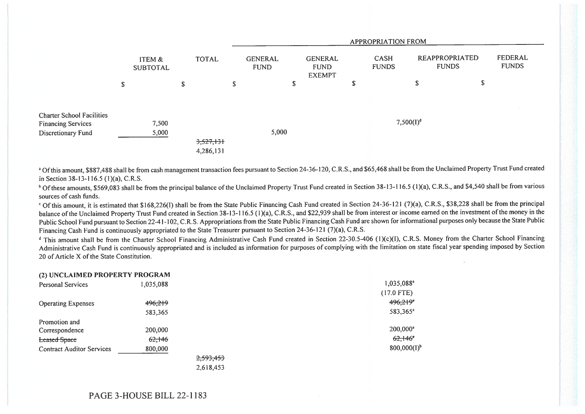|                                                               |                           |              |                        |                               |       |                                                |  |        | APPROPRIATION FROM          |                                       |    |                         |
|---------------------------------------------------------------|---------------------------|--------------|------------------------|-------------------------------|-------|------------------------------------------------|--|--------|-----------------------------|---------------------------------------|----|-------------------------|
|                                                               | ITEM &<br><b>SUBTOTAL</b> | <b>TOTAL</b> |                        | <b>GENERAL</b><br><b>FUND</b> |       | <b>GENERAL</b><br><b>FUND</b><br><b>EXEMPT</b> |  |        | <b>CASH</b><br><b>FUNDS</b> | <b>REAPPROPRIATED</b><br><b>FUNDS</b> |    | FEDERAL<br><b>FUNDS</b> |
|                                                               | \$                        | S            |                        | \$                            |       | \$.                                            |  | ø<br>D |                             | \$                                    | \$ |                         |
| <b>Charter School Facilities</b><br><b>Financing Services</b> | 7,500                     |              |                        |                               |       |                                                |  |        | $7,500(I)^d$                |                                       |    |                         |
| Discretionary Fund                                            | 5,000                     |              | 3,527,131<br>4,286,131 |                               | 5,000 |                                                |  |        |                             |                                       |    |                         |

<sup>a</sup> Of this amount, \$887,488 shall be from cash management transaction fees pursuant to Section 24-36-120, C.R.S., and \$65,468 shall be from the Unclaimed Property Trust Fund created in Section 38-13-116.5 (1)(a), C.R.S.

<sup>b</sup> Of these amounts, \$569,083 shall be from the principal balance of the Unclaimed Property Trust Fund created in Section 38-13-116.5 (1)(a), C.R.S., and \$4,540 shall be from various sources of cash funds.

' Of this amount, it is estimated that \$168,226(1) shall be from the State Public Financing Cash Fund created in Section 24-36-121 (7)(a), C.R.S., \$38,228 shall be from the principal balance of the Unclaimed Property Trust Fund created in Section 38-13-116.5 (1)(a), C.R.S., and \$22,939 shall be from interest or income earned on the investment of the money in the Public School Fund pursuant to Section 22-41-102, C.R.S. Appropriations from the State Public Financing Cash Fund are shown for informational purposes only because the State Public Financing Cash Fund is continuously appropriated to the State Treasurer pursuant to Section 24-36-121 (7)(a), C.R.S.

<sup>d</sup> This amount shall be from the Charter School Financing Administrative Cash Fund created in Section 22-30.5-406 (1)(c)(I), C.R.S. Money from the Charter School Financing Administrative Cash Fund is continuously appropriated and is included as information for purposes of complying with the limitation on state fiscal year spending imposed by Section 20 of Article X of the State Constitution.

| (2) UNCLAIMED FROFERT I FROGRAM  |                   |           |                        |
|----------------------------------|-------------------|-----------|------------------------|
| <b>Personal Services</b>         | 1,035,088         |           | 1,035,088 <sup>a</sup> |
|                                  |                   |           | $(17.0$ FTE)           |
| <b>Operating Expenses</b>        | 496,219           |           | 496,219"               |
|                                  | 583,365           |           | 583,365 <sup>a</sup>   |
| Promotion and                    |                   |           |                        |
| Correspondence                   | 200,000           |           | 200,000 <sup>a</sup>   |
| <b>Leased Space</b>              | <del>62,146</del> |           | $62,146$ <sup>*</sup>  |
| <b>Contract Auditor Services</b> | 800,000           |           | $800,000(I)^{b}$       |
|                                  |                   | 2,593,453 |                        |
|                                  |                   | 2,618,453 |                        |

(A) UNCLAIMED PROPERTY PROCESS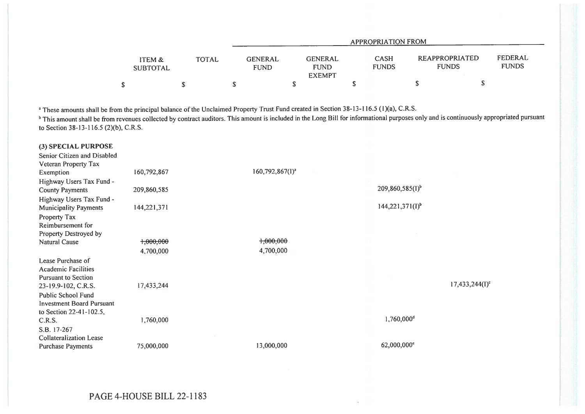|                           |              |                        |                                                | APPROPRIATION FROM          |                                |                         |
|---------------------------|--------------|------------------------|------------------------------------------------|-----------------------------|--------------------------------|-------------------------|
| ITEM &<br><b>SUBTOTAL</b> | <b>TOTAL</b> | GENERAL<br><b>FUND</b> | <b>GENERAL</b><br><b>FUND</b><br><b>EXEMPT</b> | <b>CASH</b><br><b>FUNDS</b> | REAPPROPRIATED<br><b>FUNDS</b> | FEDERAL<br><b>FUNDS</b> |
|                           |              |                        |                                                |                             |                                |                         |

<sup>a</sup> These amounts shall be from the principal balance of the Unclaimed Property Trust Fund created in Section 38-13-116.5 (1)(a), C.R.S.

<sup>b</sup> This amount shall be from revenues collected by contract auditors. This amount is included in the Long Bill for informational purposes only and is continuously appropriated pursuant to Section 38-13-116.5 (2)(b), C.R.S.

| (3) SPECIAL PURPOSE<br>Senior Citizen and Disabled |             |                      |                        |                   |
|----------------------------------------------------|-------------|----------------------|------------------------|-------------------|
| Veteran Property Tax                               |             |                      |                        |                   |
| Exemption                                          | 160,792,867 | $160,792,867(1)^{a}$ |                        |                   |
| Highway Users Tax Fund -                           |             |                      |                        |                   |
| <b>County Payments</b>                             | 209,860,585 |                      | $209,860,585(I)^{b}$   |                   |
| Highway Users Tax Fund -                           |             |                      |                        |                   |
| <b>Municipality Payments</b>                       | 144,221,371 |                      | $144,221,371(I)^{b}$   |                   |
| Property Tax                                       |             |                      |                        |                   |
| Reimbursement for                                  |             |                      |                        |                   |
| Property Destroyed by                              |             |                      |                        |                   |
| Natural Cause                                      | 1,000,000   | +,000,000            |                        |                   |
|                                                    | 4,700,000   | 4,700,000            |                        |                   |
| Lease Purchase of                                  |             |                      |                        |                   |
| <b>Academic Facilities</b>                         |             |                      |                        |                   |
| <b>Pursuant to Section</b>                         |             |                      |                        |                   |
| 23-19.9-102, C.R.S.                                | 17,433,244  |                      |                        | $17,433,244(1)^c$ |
| Public School Fund                                 |             |                      |                        |                   |
| <b>Investment Board Pursuant</b>                   |             |                      |                        |                   |
| to Section 22-41-102.5,                            |             |                      |                        |                   |
| C.R.S.                                             | 1,760,000   |                      | 1,760,000 <sup>d</sup> |                   |
| S.B. 17-267                                        |             |                      |                        |                   |
| <b>Collateralization Lease</b>                     |             |                      |                        |                   |
| Purchase Payments                                  | 75,000,000  | 13,000,000           | 62,000,000°            |                   |
|                                                    |             |                      |                        |                   |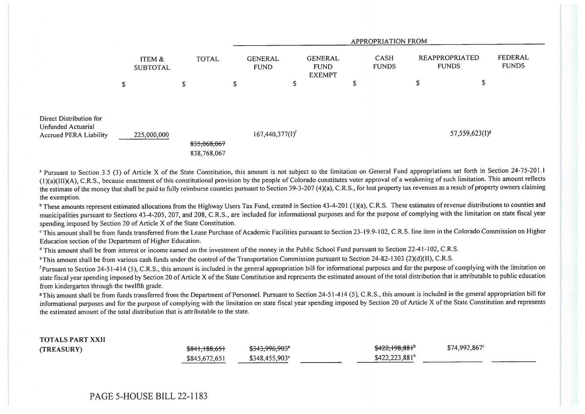|                                                                                |                           |             |              |                            | <b>APPROPRIATION FROM</b> |                               |                                                |    |                             |                                       |                            |                         |
|--------------------------------------------------------------------------------|---------------------------|-------------|--------------|----------------------------|---------------------------|-------------------------------|------------------------------------------------|----|-----------------------------|---------------------------------------|----------------------------|-------------------------|
|                                                                                | ITEM &<br><b>SUBTOTAL</b> |             | <b>TOTAL</b> |                            |                           | <b>GENERAL</b><br><b>FUND</b> | <b>GENERAL</b><br><b>FUND</b><br><b>EXEMPT</b> |    | <b>CASH</b><br><b>FUNDS</b> | <b>REAPPROPRIATED</b><br><b>FUNDS</b> |                            | FEDERAL<br><b>FUNDS</b> |
|                                                                                | ${\mathbb S}$             |             | \$           |                            | S                         | J.                            |                                                | J. |                             | \$                                    | P                          |                         |
| Direct Distribution for<br>Unfunded Actuarial<br><b>Accrued PERA Liability</b> |                           | 225,000,000 |              | 835,068,067<br>838,768,067 |                           | $167,440,377(1)^f$            |                                                |    |                             |                                       | 57,559,623(I) <sup>8</sup> |                         |

<sup>a</sup> Pursuant to Section 3.5 (3) of Article X of the State Constitution, this amount is not subject to the limitation on General Fund appropriations set forth in Section 24-75-201.1 (1)(a)(IlI)(A), C.R.S., because enactment of this constitutional provision by the people of Colorado constitutes voter approval of a weakening of such limitation. This amount reflects the estimate of the money that shall be paid to fully reimburse counties pursuant to Section 39-3-207 (4)(a), C.R.S., for lost property tax revenues as a result of property owners claiming the exemption.

<sup>b</sup> These amounts represent estimated allocations from the Highway Users Tax Fund, created in Section 43-4-201 (1)(a), C.R.S. These estimates of revenue distributions to counties and municipalities pursuant to Sections 43-4-205, 207, and 208, C.R.S., are included for informational purposes and for the purpose of complying with the limitation on state fiscal year spending imposed by Section 20 of Article X of the State Constitution.

`This amount shall be from funds transferred from the Lease Purchase of Academic Facilities pursuant to Section 23-19.9-102, C.R.S. line item in the Colorado Commission on Higher Education section of the Department of Higher Education.

<sup>d</sup> This amount shall be from interest or income earned on the investment of the money in the Public School Fund pursuant to Section 22-41-102, C.R.S.

`This amount shall be from various cash funds under the control of the Transportation Commission pursuant to Section 24-82-1303 (2)(d)(II), C.R.S.

'Pursuant to Section 24-51-414 (5), C.R.S., this amount is included in the general appropriation bill for informational purposes and for the purpose of complying with the limitation on state fiscal year spending imposed by Section 20 of Article X of the State Constitution and represents the estimated amount of the total distribution that is attributable to public education from kindergarten through the twelfth grade.

<sup>8</sup>This amount shall be from funds transferred from the Department of Personnel. Pursuant to Section 24-51-414 (5), C.R.S., this amount is included in the general appropriation bill for informational purposes and for the purpose of complying with the limitation on state fiscal year spending imposed by Section 20 of Article X of the State Constitution and represents the estimated amount of the total distribution that is attributable to the state.

| <b>TOTALS PART XXII</b> |               |                            |                          |                            |  |
|-------------------------|---------------|----------------------------|--------------------------|----------------------------|--|
| (TREASURY)              | \$841,188,651 | \$343,996,903*             | <del>\$422,198,881</del> | $$74,992,867$ <sup>c</sup> |  |
|                         | \$845,672,651 | \$348,455,903 <sup>a</sup> | $$422,223,881^b$         |                            |  |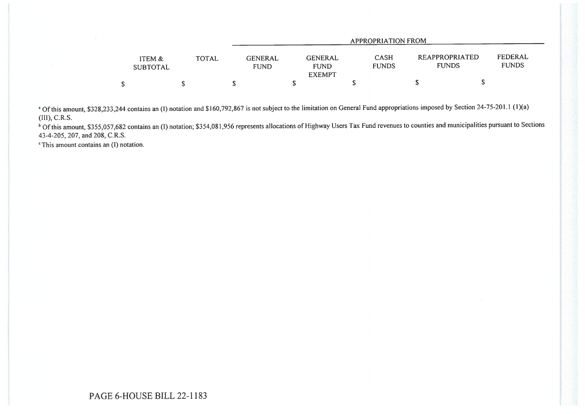|                           |              |                               |                                                | APPROPRIATION FROM          |                                |                         |
|---------------------------|--------------|-------------------------------|------------------------------------------------|-----------------------------|--------------------------------|-------------------------|
| ITEM &<br><b>SUBTOTAL</b> | <b>TOTAL</b> | <b>GENERAL</b><br><b>FUND</b> | <b>GENERAL</b><br><b>FUND</b><br><b>EXEMPT</b> | <b>CASH</b><br><b>FUNDS</b> | REAPPROPRIATED<br><b>FUNDS</b> | FEDERAL<br><b>FUNDS</b> |
|                           |              |                               |                                                |                             |                                |                         |

<sup>a</sup> Of this amount, \$328,233,244 contains an (1) notation and \$160,792,867 is not subject to the limitation on General Fund appropriations imposed by Section 24-75-201.1 (1)(a) (III), C.R.S.

<sup>b</sup> Of this amount, \$355,057,682 contains an (I) notation; \$354,081,956 represents allocations of Highway Users Tax Fund revenues to counties and municipalities pursuant to Sections 43-4-205, 207, and 208, C.R.S.

 $\textdegree$ This amount contains an (I) notation.